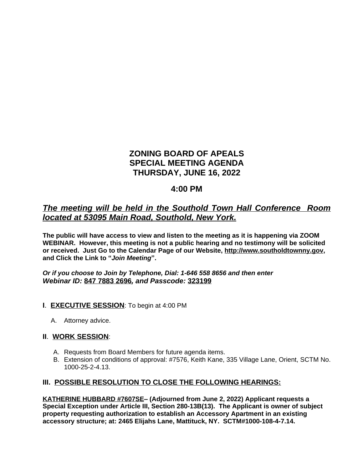# **ZONING BOARD OF APEALS SPECIAL MEETING AGENDA THURSDAY, JUNE 16, 2022**

## **4:00 PM**

## *The meeting will be held in the Southold Town Hall Conference Room located at 53095 Main Road, Southold, New York.*

**The public will have access to view and listen to the meeting as it is happening via ZOOM WEBINAR. However, this meeting is not a public hearing and no testimony will be solicited or received. Just Go to the Calendar Page of our Website, [http://www.southoldtownny.gov,](http://www.southoldtownny.gov) and Click the Link to "***Join Meeting***".**

*Or if you choose to Join by Telephone, Dial: 1-646 558 8656 and then enter Webinar ID:* **847 7883 2696***, and Passcode:* **323199**

#### **I**. **EXECUTIVE SESSION**: To begin at 4:00 PM

A. Attorney advice.

#### **II**. **WORK SESSION**:

- A. Requests from Board Members for future agenda items.
- B. Extension of conditions of approval: #7576, Keith Kane, 335 Village Lane, Orient, SCTM No. 1000-25-2-4.13.

#### **III. POSSIBLE RESOLUTION TO CLOSE THE FOLLOWING HEARINGS:**

**KATHERINE HUBBARD #7607SE– (Adjourned from June 2, 2022) Applicant requests a Special Exception under Article III, Section 280-13B(13). The Applicant is owner of subject property requesting authorization to establish an Accessory Apartment in an existing accessory structure; at: 2465 Elijahs Lane, Mattituck, NY. SCTM#1000-108-4-7.14.**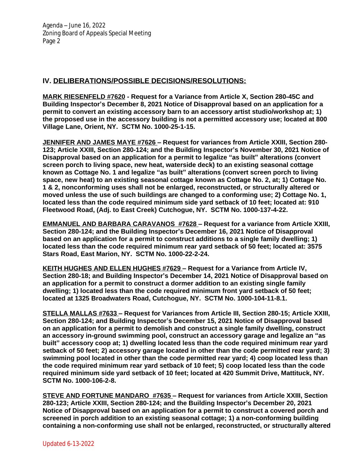## **IV. DELIBERATIONS/POSSIBLE DECISIONS/RESOLUTIONS:**

**MARK RIESENFELD #7620 - Request for a Variance from Article X, Section 280-45C and Building Inspector's December 8, 2021 Notice of Disapproval based on an application for a permit to convert an existing accessory barn to an accessory artist studio/workshop at; 1) the proposed use in the accessory building is not a permitted accessory use; located at 800 Village Lane, Orient, NY. SCTM No. 1000-25-1-15.**

**JENNIFER AND JAMES MAYE #7626 – Request for variances from Article XXIII, Section 280- 123; Article XXIII, Section 280-124; and the Building Inspector's November 30, 2021 Notice of Disapproval based on an application for a permit to legalize "as built" alterations (convert screen porch to living space, new heat, waterside deck) to an existing seasonal cottage known as Cottage No. 1 and legalize "as built" alterations (convert screen porch to living space, new heat) to an existing seasonal cottage known as Cottage No. 2, at; 1) Cottage No. 1 & 2, nonconforming uses shall not be enlarged, reconstructed, or structurally altered or moved unless the use of such buildings are changed to a conforming use; 2) Cottage No. 1, located less than the code required minimum side yard setback of 10 feet; located at: 910 Fleetwood Road, (Adj. to East Creek) Cutchogue, NY. SCTM No. 1000-137-4-22.**

**EMMANUEL AND BARBARA CARAVANOS #7628 – Request for a variance from Article XXIII, Section 280-124; and the Building Inspector's December 16, 2021 Notice of Disapproval based on an application for a permit to construct additions to a single family dwelling; 1) located less than the code required minimum rear yard setback of 50 feet; located at: 3575 Stars Road, East Marion, NY. SCTM No. 1000-22-2-24.**

**KEITH HUGHES AND ELLEN HUGHES #7629 – Request for a Variance from Article IV, Section 280-18; and Building Inspector's December 14, 2021 Notice of Disapproval based on an application for a permit to construct a dormer addition to an existing single family dwelling; 1) located less than the code required minimum front yard setback of 50 feet; located at 1325 Broadwaters Road, Cutchogue, NY. SCTM No. 1000-104-11-8.1.**

**STELLA MALLAS #7633 – Request for Variances from Article III, Section 280-15; Article XXIII, Section 280-124; and Building Inspector's December 15, 2021 Notice of Disapproval based on an application for a permit to demolish and construct a single family dwelling, construct an accessory in-ground swimming pool, construct an accessory garage and legalize an "as built" accessory coop at; 1) dwelling located less than the code required minimum rear yard setback of 50 feet; 2) accessory garage located in other than the code permitted rear yard; 3) swimming pool located in other than the code permitted rear yard; 4) coop located less than the code required minimum rear yard setback of 10 feet; 5) coop located less than the code required minimum side yard setback of 10 feet; located at 420 Summit Drive, Mattituck, NY. SCTM No. 1000-106-2-8.**

**STEVE AND FORTUNE MANDARO #7635 – Request for variances from Article XXIII, Section 280-123; Article XXIII, Section 280-124; and the Building Inspector's December 20, 2021 Notice of Disapproval based on an application for a permit to construct a covered porch and screened in porch addition to an existing seasonal cottage; 1) a non-conforming building containing a non-conforming use shall not be enlarged, reconstructed, or structurally altered**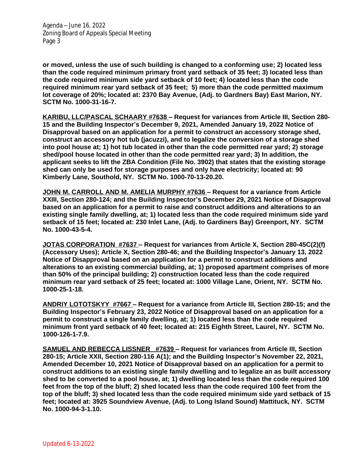Agenda – June 16, 2022 Zoning Board of Appeals Special Meeting Page 3

**or moved, unless the use of such building is changed to a conforming use; 2) located less than the code required minimum primary front yard setback of 35 feet; 3) located less than the code required minimum side yard setback of 10 feet; 4) located less than the code required minimum rear yard setback of 35 feet; 5) more than the code permitted maximum lot coverage of 20%; located at: 2370 Bay Avenue, (Adj. to Gardners Bay) East Marion, NY. SCTM No. 1000-31-16-7.**

**KARIBU, LLC/PASCAL SCHAARY #7638 – Request for variances from Article III, Section 280- 15 and the Building Inspector's December 9, 2021, Amended January 19, 2022 Notice of Disapproval based on an application for a permit to construct an accessory storage shed, construct an accessory hot tub (jacuzzi), and to legalize the conversion of a storage shed into pool house at; 1) hot tub located in other than the code permitted rear yard; 2) storage shed/pool house located in other than the code permitted rear yard; 3) In addition, the applicant seeks to lift the ZBA Condition (File No. 3902) that states that the existing storage shed can only be used for storage purposes and only have electricity; located at: 90 Kimberly Lane, Southold, NY. SCTM No. 1000-70-13-20.20.**

**JOHN M. CARROLL AND M. AMELIA MURPHY #7636 – Request for a variance from Article XXIII, Section 280-124; and the Building Inspector's December 29, 2021 Notice of Disapproval based on an application for a permit to raise and construct additions and alterations to an existing single family dwelling, at; 1) located less than the code required minimum side yard setback of 15 feet; located at: 230 Inlet Lane, (Adj. to Gardiners Bay) Greenport, NY. SCTM No. 1000-43-5-4.**

**JOTAS CORPORATION #7637 – Request for variances from Article X, Section 280-45C(2)(f) (Accessory Uses); Article X, Section 280-46; and the Building Inspector's January 13, 2022 Notice of Disapproval based on an application for a permit to construct additions and alterations to an existing commercial building, at; 1) proposed apartment comprises of more than 50% of the principal building; 2) construction located less than the code required minimum rear yard setback of 25 feet; located at: 1000 Village Lane, Orient, NY. SCTM No. 1000-25-1-18.**

**ANDRIY LOTOTSKYY #7667 – Request for a variance from Article III, Section 280-15; and the Building Inspector's February 23, 2022 Notice of Disapproval based on an application for a permit to construct a single family dwelling, at; 1) located less than the code required minimum front yard setback of 40 feet; located at: 215 Eighth Street, Laurel, NY. SCTM No. 1000-126-1-7.9.**

**SAMUEL AND REBECCA LISSNER #7639 – Request for variances from Article III, Section 280-15; Article XXII, Section 280-116 A(1); and the Building Inspector's November 22, 2021, Amended December 10, 2021 Notice of Disapproval based on an application for a permit to construct additions to an existing single family dwelling and to legalize an as built accessory shed to be converted to a pool house, at; 1) dwelling located less than the code required 100 feet from the top of the bluff; 2) shed located less than the code required 100 feet from the top of the bluff; 3) shed located less than the code required minimum side yard setback of 15 feet; located at: 3925 Soundview Avenue, (Adj. to Long Island Sound) Mattituck, NY. SCTM No. 1000-94-3-1.10.**